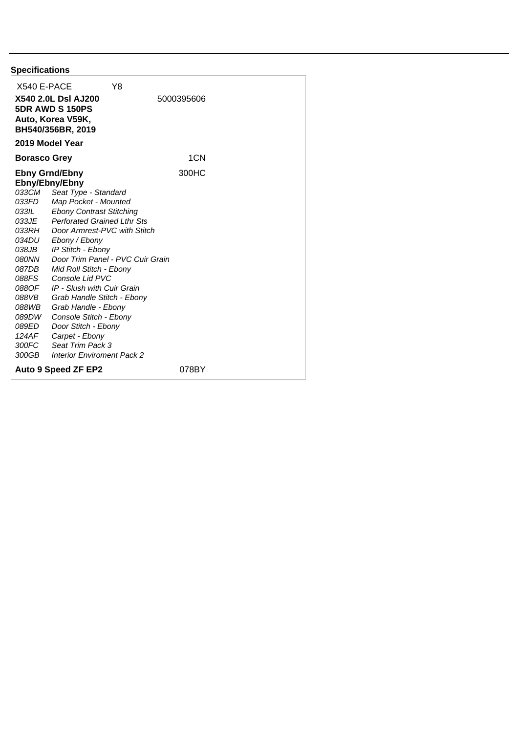| <b>Specifications</b>                                                                                                                                                                                                                                                                                                                                                                                                                                                                                                                                                                               |                                           |
|-----------------------------------------------------------------------------------------------------------------------------------------------------------------------------------------------------------------------------------------------------------------------------------------------------------------------------------------------------------------------------------------------------------------------------------------------------------------------------------------------------------------------------------------------------------------------------------------------------|-------------------------------------------|
| X540 E-PACE                                                                                                                                                                                                                                                                                                                                                                                                                                                                                                                                                                                         | Y8                                        |
| <b>X540 2.0L DsI AJ200</b><br><b>5DR AWD S 150PS</b><br>Auto, Korea V59K,<br>BH540/356BR, 2019                                                                                                                                                                                                                                                                                                                                                                                                                                                                                                      | 5000395606                                |
| 2019 Model Year                                                                                                                                                                                                                                                                                                                                                                                                                                                                                                                                                                                     |                                           |
| <b>Borasco Grey</b>                                                                                                                                                                                                                                                                                                                                                                                                                                                                                                                                                                                 | 1CN                                       |
| <b>Ebny Grnd/Ebny</b><br>Ebny/Ebny/Ebny<br>033CM Seat Type - Standard<br>033FD Map Pocket - Mounted<br>033IL Ebony Contrast Stitching<br>033JE Perforated Grained Lthr Sts<br>033RH Door Armrest-PVC with Stitch<br>034DU -<br>Ebony / Ebony<br>038JB<br>IP Stitch - Ebony<br><b>OBONN</b><br>087DB<br>Mid Roll Stitch - Ebony<br>Console Lid PVC<br>088FS<br>IP - Slush with Cuir Grain<br>088OF<br>088VB<br>Grab Handle Stitch - Ebony<br>088WB<br>Grab Handle - Ebony<br>089DW<br>Console Stitch - Ebony<br>089ED<br>Door Stitch - Ebony<br>124AF<br>Carpet - Ebony<br>300FC<br>Seat Trim Pack 3 | 300HC<br>Door Trim Panel - PVC Cuir Grain |
| 300GB<br><b>Interior Enviroment Pack 2</b>                                                                                                                                                                                                                                                                                                                                                                                                                                                                                                                                                          |                                           |
| <b>Auto 9 Speed ZF EP2</b>                                                                                                                                                                                                                                                                                                                                                                                                                                                                                                                                                                          | 078BY                                     |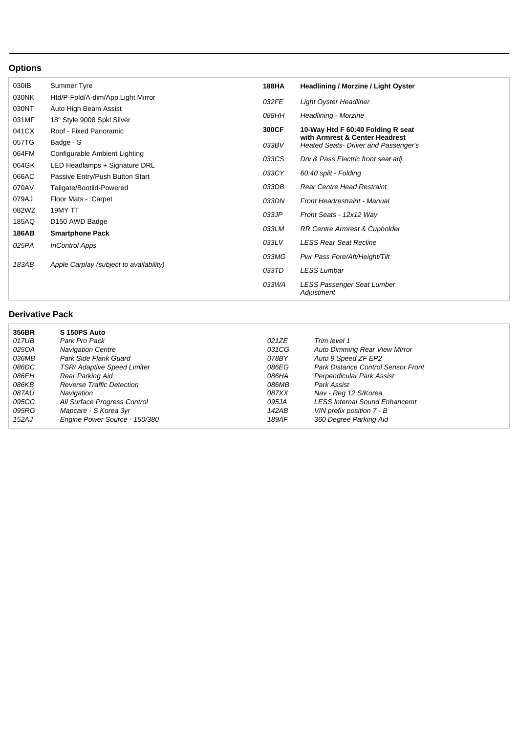## **Options**

| 030IB        | Summer Tyre                             | <b>188HA</b> | <b>Headlining / Morzine / Light Oyster</b>                             |
|--------------|-----------------------------------------|--------------|------------------------------------------------------------------------|
| 030NK        | Htd/P-Fold/A-dim/App.Light Mirror       | 032FE        | Light Oyster Headliner                                                 |
| 030NT        | Auto High Beam Assist                   |              |                                                                        |
| 031MF        | 18" Style 9008 Spkl Silver              | 088HH        | Headlining - Morzine                                                   |
| 041CX        | Roof - Fixed Panoramic                  | 300CF        | 10-Way Htd F 60:40 Folding R seat                                      |
| 057TG        | Badge - S                               | 033BV        | with Armrest & Center Headrest<br>Heated Seats- Driver and Passenger's |
| 064FM        | Configurable Ambient Lighting           | 033CS        | Drv & Pass Electric front seat adj.                                    |
| 064GK        | LED Headlamps + Signature DRL           |              |                                                                        |
| 066AC        | Passive Entry/Push Button Start         | 033CY        | 60:40 split - Folding                                                  |
| 070AV        | Tailgate/Bootlid-Powered                | 033DB        | <b>Rear Centre Head Restraint</b>                                      |
| 079AJ        | Floor Mats - Carpet                     | 033DN        | Front Headrestraint - Manual                                           |
| 082WZ        | 19MY TT                                 | 033JP        | Front Seats - 12x12 Way                                                |
| 185AQ        | D <sub>150</sub> AWD Badge              |              |                                                                        |
| <b>186AB</b> | <b>Smartphone Pack</b>                  | 033LM        | <b>RR Centre Armrest &amp; Cupholder</b>                               |
| 025PA        | <b>InControl Apps</b>                   | 033LV        | <b>LESS Rear Seat Recline</b>                                          |
| 183AB        | Apple Carplay (subject to availability) | 033MG        | Pwr Pass Fore/Aft/Height/Tilt                                          |
|              |                                         | 033TD        | <b>LESS Lumbar</b>                                                     |
|              |                                         | 033WA        | LESS Passenger Seat Lumber<br>Adjustment                               |

## **Derivative Pack**

| 356BR        | S 150PS Auto                     |       |                                           |
|--------------|----------------------------------|-------|-------------------------------------------|
| 017UB        | Park Pro Pack                    | 021ZE | Trim level 1                              |
| 025OA        | <b>Navigation Centre</b>         | 031CG | <b>Auto Dimming Rear View Mirror</b>      |
| 036MB        | Park Side Flank Guard            | 078BY | Auto 9 Speed ZF EP2                       |
| 086DC        | TSR/ Adaptive Speed Limiter      | 086EG | <b>Park Distance Control Sensor Front</b> |
| 086EH        | Rear Parking Aid                 | 086HA | Perpendicular Park Assist                 |
| 086KB        | <b>Reverse Traffic Detection</b> | 086MB | Park Assist                               |
| <i>087AU</i> | Navigation                       | 087XX | Nav - Reg 12 S/Korea                      |
| 095CC        | All Surface Progress Control     | 095JA | <b>LESS Internal Sound Enhancemt</b>      |
| 095RG        | Mapcare - S Korea 3yr            | 142AB | VIN prefix position 7 - B                 |
| 152AJ        | Engine Power Source - 150/380    | 189AF | 360 Degree Parking Aid                    |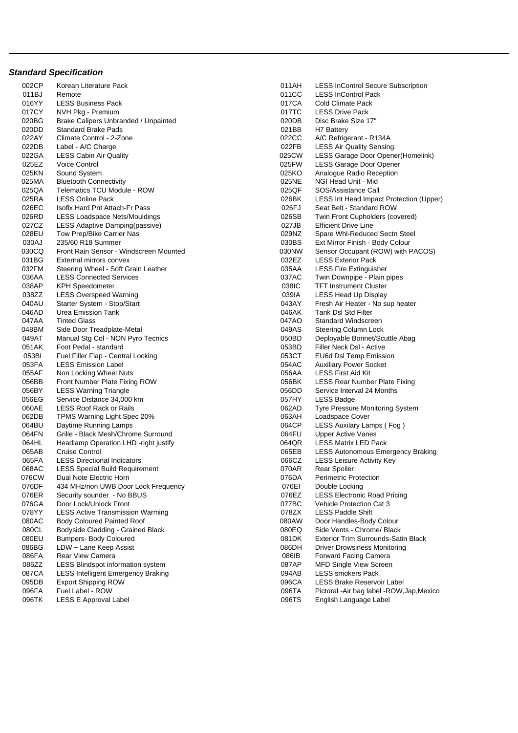## **Standard Specification**

| 002CP          | Korean Literature Pack                                         | 011AH          | <b>LESS InControl Secure Subscription</b>               |
|----------------|----------------------------------------------------------------|----------------|---------------------------------------------------------|
| 011BJ          | Remote                                                         | 011CC          | <b>LESS InControl Pack</b>                              |
| 016YY          | <b>LESS Business Pack</b>                                      | 017CA          | Cold Climate Pack                                       |
| 017CY          | NVH Pkg - Premium                                              | 017TC          | <b>LESS Drive Pack</b>                                  |
| 020BG          | Brake Calipers Unbranded / Unpainted                           | 020DB          | Disc Brake Size 17"                                     |
| 020DD          | <b>Standard Brake Pads</b>                                     | 021BB          | H7 Battery                                              |
| 022AY          | Climate Control - 2-Zone                                       | 022CC          | A/C Refrigerant - R134A                                 |
| 022DB          | Label - A/C Charge                                             | 022FB          | <b>LESS Air Quality Sensing.</b>                        |
| 022GA          | <b>LESS Cabin Air Quality</b>                                  | 025CW          | LESS Garage Door Opener(Homelink)                       |
| 025EZ          | <b>Voice Control</b>                                           | 025FW          | <b>LESS Garage Door Opener</b>                          |
| 025KN          | Sound System                                                   | 025KO          | Analogue Radio Reception                                |
| 025MA          | <b>Bluetooth Connectivity</b>                                  | 025NE          | NGI Head Unit - Mid                                     |
| 025QA          | Telematics TCU Module - ROW                                    | 025QF          | SOS/Assistance Call                                     |
| 025RA          | <b>LESS Online Pack</b>                                        | 026BK          | LESS Int Head Impact Protection (Upper)                 |
| 026EC          | Isofix Hard Pnt Attach-Fr Pass                                 | 026FJ          | Seat Belt - Standard ROW                                |
| 026RD          | LESS Loadspace Nets/Mouldings                                  | 026SB          | Twin Front Cupholders (covered)                         |
| 027CZ          | LESS Adaptive Damping (passive)                                | 027JB          | <b>Efficient Drive Line</b>                             |
| 028EU          | Tow Prep/Bike Carrier Nas                                      | 029NZ          | Spare Whl-Reduced Sectn Steel                           |
| 030AJ          | 235/60 R18 Summer                                              | 030BS          | Ext Mirror Finish - Body Colour                         |
| 030CQ          | Front Rain Sensor - Windscreen Mounted                         | 030NW          | Sensor Occupant (ROW) with PACOS)                       |
| 031BG          | External mirrors convex                                        | 032EZ          | <b>LESS Exterior Pack</b>                               |
| 032FM          | Steering Wheel - Soft Grain Leather                            | 035AA          | <b>LESS Fire Extinguisher</b>                           |
| 036AA          | <b>LESS Connected Services</b>                                 | 037AC          | Twin Downpipe - Plain pipes                             |
| 038AP          | <b>KPH Speedometer</b>                                         | 038IC          | <b>TFT Instrument Cluster</b>                           |
| 038ZZ          | <b>LESS Overspeed Warning</b>                                  | 039IA          | LESS Head Up Display                                    |
| 040AU          | Starter System - Stop/Start                                    | 043AY          | Fresh Air Heater - No sup heater                        |
| 046AD          | Urea Emission Tank                                             | 046AK          | <b>Tank DsI Std Filter</b>                              |
| 047AA          | <b>Tinted Glass</b>                                            | 047AO          | Standard Windscreen                                     |
| 048BM          | Side Door Treadplate-Metal                                     | 049AS          | Steering Column Lock                                    |
| 049AT          | Manual Stg Col - NON Pyro Tecnics                              | 050BD          | Deployable Bonnet/Scuttle Abag                          |
| 051AK          | Foot Pedal - standard                                          | 053BD          | Filler Neck DsI - Active                                |
| 053BI          | Fuel Filler Flap - Central Locking                             | 053CT          |                                                         |
| 053FA          | <b>LESS Emission Label</b>                                     | 054AC          | EU6d DsI Temp Emission<br><b>Auxiliary Power Socket</b> |
| 055AF          |                                                                | 056AA          | <b>LESS First Aid Kit</b>                               |
| 056BB          | Non Locking Wheel Nuts                                         | 056BK          | LESS Rear Number Plate Fixing                           |
| 056BY          | Front Number Plate Fixing ROW<br><b>LESS Warning Triangle</b>  | 056DD          |                                                         |
| 056EG          | Service Distance 34,000 km                                     | 057HY          | Service Interval 24 Months<br><b>LESS Badge</b>         |
| 060AE          | <b>LESS Roof Rack or Rails</b>                                 | 062AD          | <b>Tyre Pressure Monitoring System</b>                  |
| 062DB          |                                                                | 063AH          |                                                         |
| 064BU          | TPMS Warning Light Spec 20%<br>Daytime Running Lamps           | 064CP          | Loadspace Cover<br>LESS Auxilary Lamps (Fog)            |
| 064FN          | Grille - Black Mesh/Chrome Surround                            | 064FU          | <b>Upper Active Vanes</b>                               |
|                |                                                                |                |                                                         |
| 064HL          | Headlamp Operation LHD -right justify<br><b>Cruise Control</b> | 064QR          | LESS Matrix LED Pack                                    |
| 065AB<br>065FA | <b>LESS Directional Indicators</b>                             | 065EB<br>066CZ | <b>LESS Autonomous Emergency Braking</b>                |
|                |                                                                | 070AR          | <b>LESS Leisure Activity Key</b>                        |
| 068AC          | <b>LESS Special Build Requirement</b>                          | 076DA          | Rear Spoiler                                            |
| 076CW          | Dual Note Electric Horn                                        |                | <b>Perimetric Protection</b>                            |
| 076DF          | 434 MHz/non UWB Door Lock Frequency                            | 076EI          | Double Locking                                          |
| 076ER          | Security sounder - No BBUS                                     | 076EZ          | <b>LESS Electronic Road Pricing</b>                     |
| 076GA          | Door Lock/Unlock Front                                         | 077BC          | <b>Vehicle Protection Cat 3</b>                         |
| 078YY          | <b>LESS Active Transmission Warming</b>                        | 078ZX          | <b>LESS Paddle Shift</b>                                |
| 080AC          | <b>Body Coloured Painted Roof</b>                              | 080AW          | Door Handles-Body Colour                                |
| 080CL          | Bodyside Cladding - Grained Black                              | 080EQ          | Side Vents - Chrome/ Black                              |
| 080EU          | <b>Bumpers- Body Coloured</b>                                  | 081DK          | <b>Exterior Trim Surrounds-Satin Black</b>              |
| 086BG          | LDW + Lane Keep Assist                                         | 086DH          | <b>Driver Drowsiness Monitoring</b>                     |
| 086FA          | <b>Rear View Camera</b>                                        | 086IB          | Forward Facing Camera                                   |
| 086ZZ          | LESS Blindspot information system                              | 087AP          | <b>MFD Single View Screen</b>                           |
| 087CA          | <b>LESS Intelligent Emergency Braking</b>                      | 094AB          | <b>LESS smokers Pack</b>                                |
| 095DB          | <b>Export Shipping ROW</b>                                     | 096CA          | LESS Brake Reservoir Label                              |
| 096FA          | Fuel Label - ROW                                               | 096TA          | Pictoral - Air bag label - ROW, Jap, Mexico             |
| 096TK          | LESS E Approval Label                                          | 096TS          | English Language Label                                  |

| 011AH          | <b>LESS InControl Secure Subscription</b>                          |
|----------------|--------------------------------------------------------------------|
| 011CC          | <b>LESS InControl Pack</b>                                         |
| 017CA          | Cold Climate Pack                                                  |
| 017TC          | <b>LESS Drive Pack</b>                                             |
| 020DB          | Disc Brake Size 17"                                                |
| 021BB          | H7 Battery                                                         |
| 022CC          | A/C Refrigerant - R134A                                            |
| 022FB          | LESS Air Quality Sensing.                                          |
| 025CW          | LESS Garage Door Opener(Homelink)                                  |
| 025FW          | <b>LESS Garage Door Opener</b>                                     |
| 025KO          | Analogue Radio Reception                                           |
| 025NE          | NGI Head Unit - Mid                                                |
| 025QF          | SOS/Assistance Call                                                |
| 026BK          | LESS Int Head Impact Protection (Upper)                            |
| 026FJ          | Seat Belt - Standard ROW                                           |
| 026SB          | Twin Front Cupholders (covered)                                    |
| 027JB          | <b>Efficient Drive Line</b>                                        |
| 029NZ          | Spare Whl-Reduced Sectn Steel                                      |
| 030BS          | Ext Mirror Finish - Body Colour                                    |
| 030NW          | Sensor Occupant (ROW) with PACOS)                                  |
| 032EZ          | <b>LESS Exterior Pack</b>                                          |
| 035AA          | <b>LESS Fire Extinguisher</b>                                      |
| 037AC          | Twin Downpipe - Plain pipes                                        |
| 038IC          | <b>TFT Instrument Cluster</b>                                      |
| 039IA          | <b>LESS Head Up Display</b>                                        |
| 043AY          | Fresh Air Heater - No sup heater                                   |
| 046AK          | <b>Tank DsI Std Filter</b>                                         |
| 047AO          | Standard Windscreen                                                |
| 049AS          | <b>Steering Column Lock</b>                                        |
| 050BD          | Deployable Bonnet/Scuttle Abag                                     |
| 053BD          | Filler Neck DsI - Active                                           |
| 053CT          | EU6d Dsl Temp Emission                                             |
| 054AC          | <b>Auxiliary Power Socket</b>                                      |
| 056AA          | <b>LESS First Aid Kit</b>                                          |
| 056BK          | <b>LESS Rear Number Plate Fixing</b><br>Service Interval 24 Months |
| 056DD<br>057HY | <b>LESS Badge</b>                                                  |
| 062AD          | Tyre Pressure Monitoring System                                    |
| 063AH          | Loadspace Cover                                                    |
| 064CP          | LESS Auxilary Lamps (Fog)                                          |
| 064FU          | <b>Upper Active Vanes</b>                                          |
| 064QR          | <b>LESS Matrix LED Pack</b>                                        |
| 065EB          | <b>LESS Autonomous Emergency Braking</b>                           |
| 066CZ          | <b>LESS Leisure Activity Key</b>                                   |
| 070AR          | <b>Rear Spoiler</b>                                                |
| 076DA          | <b>Perimetric Protection</b>                                       |
| 076EI          | Double Locking                                                     |
| 076EZ          | <b>LESS Electronic Road Pricing</b>                                |
| 077BC          | <b>Vehicle Protection Cat 3</b>                                    |
| 078ZX          | <b>LESS Paddle Shift</b>                                           |
| 080AW          | Door Handles-Body Colour                                           |
| 080EQ          | Side Vents - Chrome/ Black                                         |
| 081DK          | <b>Exterior Trim Surrounds-Satin Black</b>                         |
| 086DH          | <b>Driver Drowsiness Monitoring</b>                                |
| 086IB          | Forward Facing Camera                                              |
| 087AP          | <b>MFD Single View Screen</b>                                      |
| 094AB          | <b>LESS smokers Pack</b>                                           |
| 096CA          | <b>LESS Brake Reservoir Label</b>                                  |
| 096TA          | Pictoral - Air bag label - ROW, Jap, Mexico                        |
| 096TS          | English Language Label                                             |
|                |                                                                    |